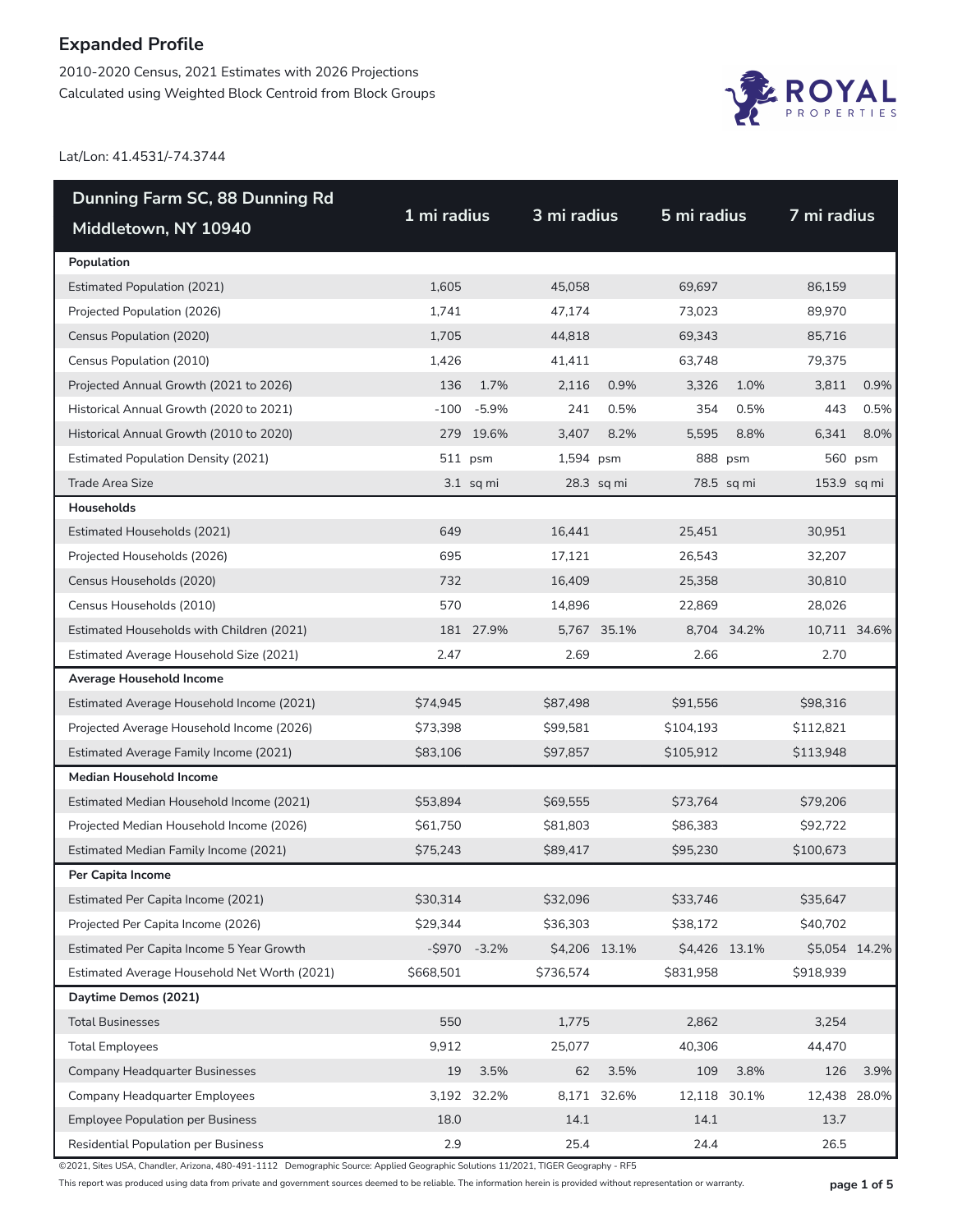2010-2020 Census, 2021 Estimates with 2026 Projections Calculated using Weighted Block Centroid from Block Groups



Lat/Lon: 41.4531/-74.3744

| Dunning Farm SC, 88 Dunning Rd               |             |                |               |             |               |              |               |         |
|----------------------------------------------|-------------|----------------|---------------|-------------|---------------|--------------|---------------|---------|
| Middletown, NY 10940                         | 1 mi radius |                | 3 mi radius   |             | 5 mi radius   |              | 7 mi radius   |         |
| Population                                   |             |                |               |             |               |              |               |         |
| <b>Estimated Population (2021)</b>           | 1,605       |                | 45,058        |             | 69,697        |              | 86,159        |         |
| Projected Population (2026)                  | 1,741       |                | 47,174        |             | 73,023        |              | 89,970        |         |
| Census Population (2020)                     | 1,705       |                | 44,818        |             | 69,343        |              | 85,716        |         |
| Census Population (2010)                     | 1,426       |                | 41,411        |             | 63,748        |              | 79,375        |         |
| Projected Annual Growth (2021 to 2026)       | 136         | 1.7%           | 2,116         | 0.9%        | 3,326         | 1.0%         | 3,811         | 0.9%    |
| Historical Annual Growth (2020 to 2021)      |             | $-100 - 5.9\%$ | 241           | 0.5%        | 354           | 0.5%         | 443           | 0.5%    |
| Historical Annual Growth (2010 to 2020)      |             | 279 19.6%      | 3,407         | 8.2%        | 5,595         | 8.8%         | 6,341         | 8.0%    |
| <b>Estimated Population Density (2021)</b>   |             | 511 psm        | 1,594 psm     |             |               | 888 psm      |               | 560 psm |
| <b>Trade Area Size</b>                       |             | $3.1$ sq mi    |               | 28.3 sq mi  |               | 78.5 sq mi   | 153.9 sq mi   |         |
| Households                                   |             |                |               |             |               |              |               |         |
| Estimated Households (2021)                  | 649         |                | 16,441        |             | 25,451        |              | 30,951        |         |
| Projected Households (2026)                  | 695         |                | 17,121        |             | 26,543        |              | 32,207        |         |
| Census Households (2020)                     | 732         |                | 16,409        |             | 25,358        |              | 30,810        |         |
| Census Households (2010)                     | 570         |                | 14,896        |             | 22,869        |              | 28,026        |         |
| Estimated Households with Children (2021)    |             | 181 27.9%      |               | 5,767 35.1% |               | 8,704 34.2%  | 10,711 34.6%  |         |
| Estimated Average Household Size (2021)      | 2.47        |                | 2.69          |             | 2.66          |              | 2.70          |         |
| Average Household Income                     |             |                |               |             |               |              |               |         |
| Estimated Average Household Income (2021)    | \$74,945    |                | \$87,498      |             | \$91,556      |              | \$98,316      |         |
| Projected Average Household Income (2026)    | \$73,398    |                | \$99,581      |             | \$104,193     |              | \$112,821     |         |
| Estimated Average Family Income (2021)       | \$83,106    |                | \$97,857      |             | \$105,912     |              | \$113,948     |         |
| <b>Median Household Income</b>               |             |                |               |             |               |              |               |         |
| Estimated Median Household Income (2021)     | \$53,894    |                | \$69,555      |             | \$73,764      |              | \$79,206      |         |
| Projected Median Household Income (2026)     | \$61,750    |                | \$81,803      |             | \$86,383      |              | \$92,722      |         |
| Estimated Median Family Income (2021)        | \$75,243    |                | \$89,417      |             | \$95,230      |              | \$100,673     |         |
| Per Capita Income                            |             |                |               |             |               |              |               |         |
| Estimated Per Capita Income (2021)           | \$30,314    |                | \$32,096      |             | \$33,746      |              | \$35,647      |         |
| Projected Per Capita Income (2026)           | \$29,344    |                | \$36,303      |             | \$38,172      |              | \$40,702      |         |
| Estimated Per Capita Income 5 Year Growth    | $-$ \$970   | $-3.2%$        | \$4,206 13.1% |             | \$4,426 13.1% |              | \$5,054 14.2% |         |
| Estimated Average Household Net Worth (2021) | \$668,501   |                | \$736,574     |             | \$831,958     |              | \$918,939     |         |
| Daytime Demos (2021)                         |             |                |               |             |               |              |               |         |
| <b>Total Businesses</b>                      | 550         |                | 1,775         |             | 2,862         |              | 3,254         |         |
| <b>Total Employees</b>                       | 9,912       |                | 25,077        |             | 40,306        |              | 44,470        |         |
| <b>Company Headquarter Businesses</b>        | 19          | 3.5%           | 62            | 3.5%        | 109           | 3.8%         | 126           | 3.9%    |
| <b>Company Headquarter Employees</b>         | 3,192       | 32.2%          |               | 8,171 32.6% |               | 12,118 30.1% | 12,438 28.0%  |         |
| <b>Employee Population per Business</b>      | 18.0        |                | 14.1          |             | 14.1          |              | 13.7          |         |
| Residential Population per Business          | 2.9         |                | 25.4          |             | 24.4          |              | 26.5          |         |

©2021, Sites USA, Chandler, Arizona, 480-491-1112 Demographic Source: Applied Geographic Solutions 11/2021, TIGER Geography - RF5

This report was produced using data from private and government sources deemed to be reliable. The information herein is provided without representation or warranty. **page 1 of 5**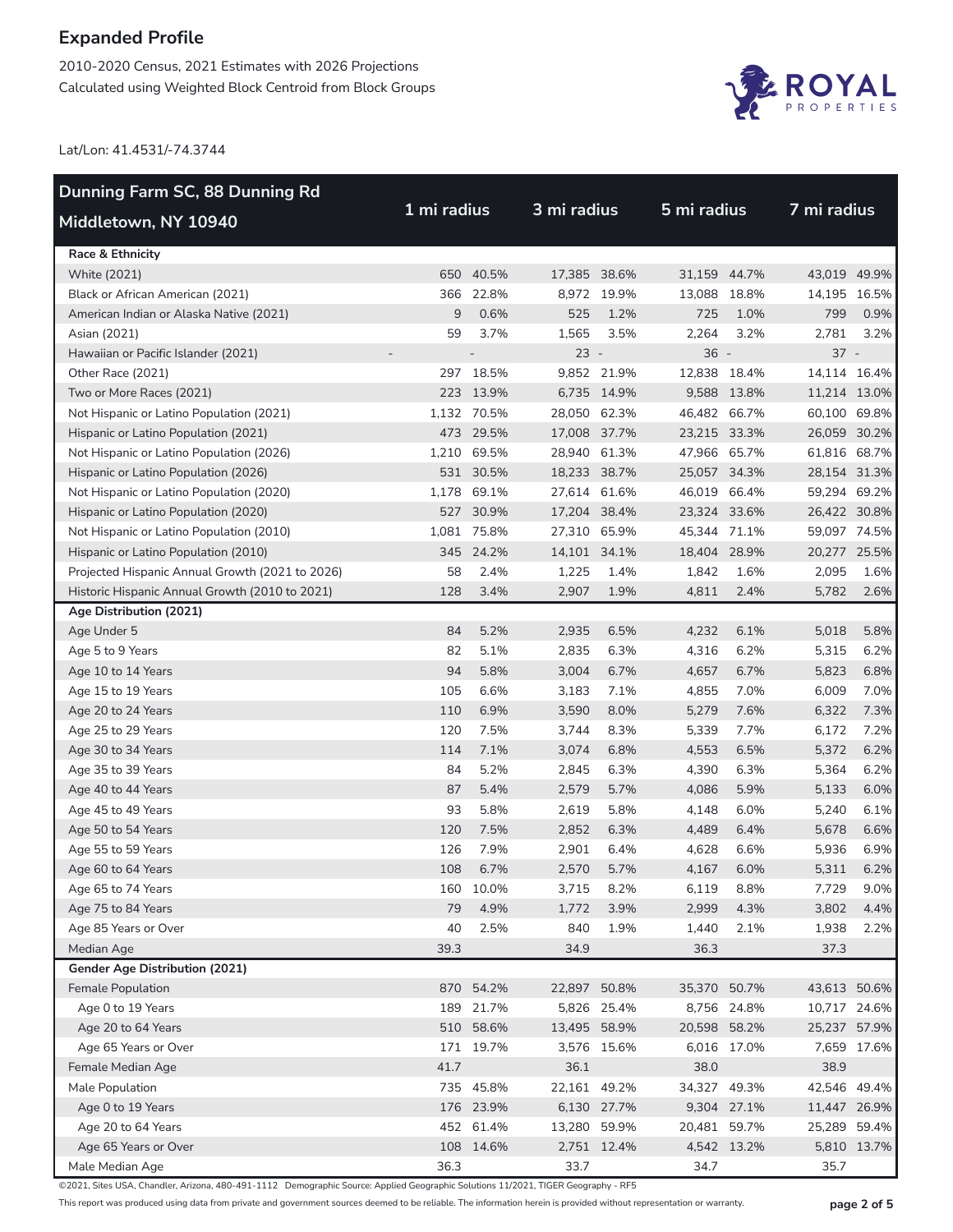2010-2020 Census, 2021 Estimates with 2026 Projections Calculated using Weighted Block Centroid from Block Groups



Lat/Lon: 41.4531/-74.3744

| Dunning Farm SC, 88 Dunning Rd                  |             |             |              |             |              | 5 mi radius  |              |             |  |  |
|-------------------------------------------------|-------------|-------------|--------------|-------------|--------------|--------------|--------------|-------------|--|--|
| Middletown, NY 10940                            | 1 mi radius |             |              | 3 mi radius |              |              | 7 mi radius  |             |  |  |
| <b>Race &amp; Ethnicity</b>                     |             |             |              |             |              |              |              |             |  |  |
| <b>White (2021)</b>                             | 650         | 40.5%       | 17,385 38.6% |             | 31,159 44.7% |              | 43,019 49.9% |             |  |  |
| Black or African American (2021)                |             | 366 22.8%   |              | 8,972 19.9% | 13,088       | 18.8%        | 14,195 16.5% |             |  |  |
| American Indian or Alaska Native (2021)         | 9           | 0.6%        | 525          | 1.2%        | 725          | 1.0%         | 799          | 0.9%        |  |  |
| Asian (2021)                                    | 59          | 3.7%        | 1,565        | 3.5%        | 2,264        | 3.2%         | 2,781        | 3.2%        |  |  |
| Hawaiian or Pacific Islander (2021)             |             |             | $23 -$       |             | $36 -$       |              | $37 -$       |             |  |  |
| Other Race (2021)                               |             | 297 18.5%   |              | 9,852 21.9% | 12,838 18.4% |              | 14,114 16.4% |             |  |  |
| Two or More Races (2021)                        |             | 223 13.9%   |              | 6,735 14.9% |              | 9,588 13.8%  | 11,214 13.0% |             |  |  |
| Not Hispanic or Latino Population (2021)        |             | 1,132 70.5% | 28,050 62.3% |             | 46,482 66.7% |              | 60,100 69.8% |             |  |  |
| Hispanic or Latino Population (2021)            |             | 473 29.5%   | 17,008 37.7% |             | 23,215 33.3% |              | 26,059 30.2% |             |  |  |
| Not Hispanic or Latino Population (2026)        | 1,210       | 69.5%       | 28,940 61.3% |             |              | 47,966 65.7% | 61,816 68.7% |             |  |  |
| Hispanic or Latino Population (2026)            |             | 531 30.5%   | 18,233 38.7% |             |              | 25,057 34.3% | 28,154 31.3% |             |  |  |
| Not Hispanic or Latino Population (2020)        | 1,178       | 69.1%       | 27,614 61.6% |             | 46,019 66.4% |              | 59,294 69.2% |             |  |  |
| Hispanic or Latino Population (2020)            |             | 527 30.9%   | 17,204 38.4% |             | 23,324 33.6% |              | 26,422 30.8% |             |  |  |
| Not Hispanic or Latino Population (2010)        |             | 1,081 75.8% | 27,310 65.9% |             | 45,344 71.1% |              | 59,097 74.5% |             |  |  |
| Hispanic or Latino Population (2010)            |             | 345 24.2%   | 14,101 34.1% |             | 18,404 28.9% |              | 20,277 25.5% |             |  |  |
| Projected Hispanic Annual Growth (2021 to 2026) | 58          | 2.4%        | 1,225        | 1.4%        | 1,842        | 1.6%         | 2,095        | 1.6%        |  |  |
| Historic Hispanic Annual Growth (2010 to 2021)  | 128         | 3.4%        | 2,907        | 1.9%        | 4,811        | 2.4%         | 5,782        | 2.6%        |  |  |
| Age Distribution (2021)                         |             |             |              |             |              |              |              |             |  |  |
| Age Under 5                                     | 84          | 5.2%        | 2,935        | 6.5%        | 4,232        | 6.1%         | 5,018        | 5.8%        |  |  |
| Age 5 to 9 Years                                | 82          | 5.1%        | 2,835        | 6.3%        | 4,316        | 6.2%         | 5,315        | 6.2%        |  |  |
| Age 10 to 14 Years                              | 94          | 5.8%        | 3,004        | 6.7%        | 4,657        | 6.7%         | 5,823        | 6.8%        |  |  |
| Age 15 to 19 Years                              | 105         | 6.6%        | 3,183        | 7.1%        | 4,855        | 7.0%         | 6,009        | 7.0%        |  |  |
| Age 20 to 24 Years                              | 110         | 6.9%        | 3,590        | 8.0%        | 5,279        | 7.6%         | 6,322        | 7.3%        |  |  |
| Age 25 to 29 Years                              | 120         | 7.5%        | 3,744        | 8.3%        | 5,339        | 7.7%         | 6,172        | 7.2%        |  |  |
| Age 30 to 34 Years                              | 114         | 7.1%        | 3,074        | 6.8%        | 4,553        | 6.5%         | 5,372        | 6.2%        |  |  |
| Age 35 to 39 Years                              | 84          | 5.2%        | 2,845        | 6.3%        | 4,390        | 6.3%         | 5,364        | 6.2%        |  |  |
| Age 40 to 44 Years                              | 87          | 5.4%        | 2,579        | 5.7%        | 4,086        | 5.9%         | 5,133        | 6.0%        |  |  |
| Age 45 to 49 Years                              | 93          | 5.8%        | 2,619        | 5.8%        | 4,148        | 6.0%         | 5,240        | 6.1%        |  |  |
| Age 50 to 54 Years                              | 120         | 7.5%        | 2,852        | 6.3%        | 4,489        | 6.4%         | 5,678        | 6.6%        |  |  |
| Age 55 to 59 Years                              | 126         | 7.9%        | 2,901        | 6.4%        | 4,628        | 6.6%         | 5,936        | 6.9%        |  |  |
| Age 60 to 64 Years                              | 108         | 6.7%        | 2,570        | 5.7%        | 4,167        | 6.0%         | 5,311        | 6.2%        |  |  |
| Age 65 to 74 Years                              |             | 160 10.0%   | 3,715        | 8.2%        | 6,119        | 8.8%         | 7,729        | 9.0%        |  |  |
| Age 75 to 84 Years                              | 79          | 4.9%        | 1,772        | 3.9%        | 2,999        | 4.3%         | 3,802        | 4.4%        |  |  |
| Age 85 Years or Over                            | 40          | 2.5%        | 840          | 1.9%        | 1,440        | 2.1%         | 1,938        | 2.2%        |  |  |
| Median Age                                      | 39.3        |             | 34.9         |             | 36.3         |              | 37.3         |             |  |  |
| Gender Age Distribution (2021)                  |             |             |              |             |              |              |              |             |  |  |
| Female Population                               | 870         | 54.2%       | 22,897 50.8% |             | 35,370 50.7% |              | 43,613 50.6% |             |  |  |
| Age 0 to 19 Years                               | 189         | 21.7%       |              | 5,826 25.4% |              | 8,756 24.8%  | 10,717 24.6% |             |  |  |
| Age 20 to 64 Years                              |             | 510 58.6%   | 13,495 58.9% |             | 20,598 58.2% |              | 25,237 57.9% |             |  |  |
| Age 65 Years or Over                            |             | 171 19.7%   |              | 3,576 15.6% |              | 6,016 17.0%  |              | 7,659 17.6% |  |  |
| Female Median Age                               | 41.7        |             | 36.1         |             | 38.0         |              | 38.9         |             |  |  |
| Male Population                                 |             | 735 45.8%   | 22,161 49.2% |             | 34,327 49.3% |              | 42,546 49.4% |             |  |  |
| Age 0 to 19 Years                               |             | 176 23.9%   |              | 6,130 27.7% |              | 9,304 27.1%  | 11,447 26.9% |             |  |  |
| Age 20 to 64 Years                              |             | 452 61.4%   | 13,280 59.9% |             | 20,481 59.7% |              | 25,289 59.4% |             |  |  |
| Age 65 Years or Over                            |             | 108 14.6%   |              | 2,751 12.4% |              | 4,542 13.2%  |              | 5,810 13.7% |  |  |
| Male Median Age                                 | 36.3        |             | 33.7         |             | 34.7         |              | 35.7         |             |  |  |

©2021, Sites USA, Chandler, Arizona, 480-491-1112 Demographic Source: Applied Geographic Solutions 11/2021, TIGER Geography - RF5

This report was produced using data from private and government sources deemed to be reliable. The information herein is provided without representation or warranty. **page 2 of 5**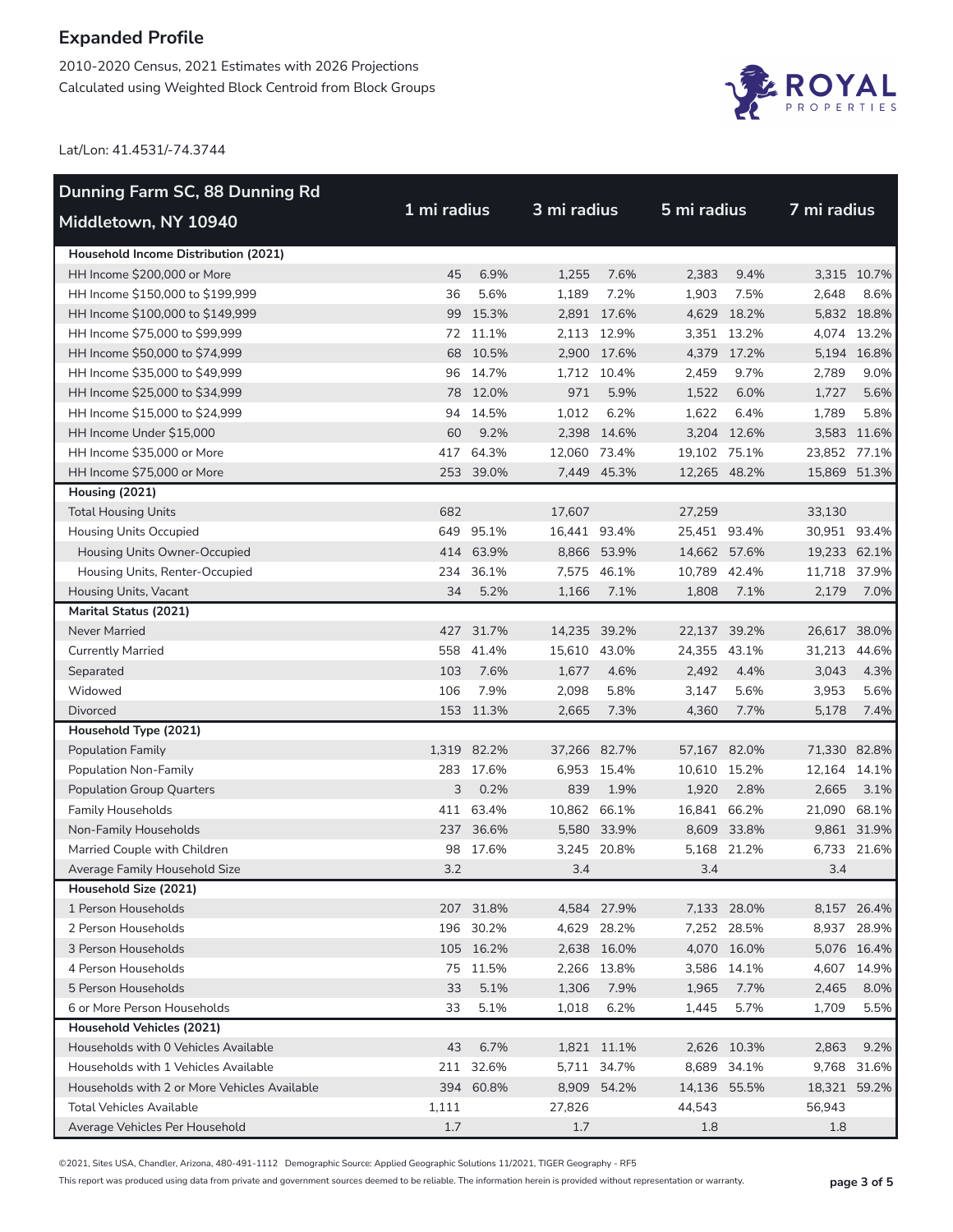2010-2020 Census, 2021 Estimates with 2026 Projections Calculated using Weighted Block Centroid from Block Groups



Lat/Lon: 41.4531/-74.3744

| Dunning Farm SC, 88 Dunning Rd               |             |             |              |             |              |             |              |             |  |
|----------------------------------------------|-------------|-------------|--------------|-------------|--------------|-------------|--------------|-------------|--|
| Middletown, NY 10940                         | 1 mi radius |             |              | 3 mi radius |              | 5 mi radius |              | 7 mi radius |  |
| Household Income Distribution (2021)         |             |             |              |             |              |             |              |             |  |
| HH Income \$200,000 or More                  | 45          | 6.9%        | 1,255        | 7.6%        | 2,383        | 9.4%        |              | 3,315 10.7% |  |
| HH Income \$150,000 to \$199,999             | 36          | 5.6%        | 1,189        | 7.2%        | 1,903        | 7.5%        | 2,648        | 8.6%        |  |
| HH Income \$100,000 to \$149,999             |             | 99 15.3%    |              | 2,891 17.6% |              | 4,629 18.2% |              | 5,832 18.8% |  |
| HH Income \$75,000 to \$99,999               |             | 72 11.1%    |              | 2,113 12.9% |              | 3,351 13.2% |              | 4,074 13.2% |  |
| HH Income \$50,000 to \$74,999               |             | 68 10.5%    |              | 2,900 17.6% |              | 4,379 17.2% |              | 5,194 16.8% |  |
| HH Income \$35,000 to \$49,999               |             | 96 14.7%    |              | 1,712 10.4% | 2,459        | 9.7%        | 2,789        | 9.0%        |  |
| HH Income \$25,000 to \$34,999               |             | 78 12.0%    | 971          | 5.9%        | 1,522        | 6.0%        | 1,727        | 5.6%        |  |
| HH Income \$15,000 to \$24,999               |             | 94 14.5%    | 1,012        | 6.2%        | 1,622        | 6.4%        | 1,789        | 5.8%        |  |
| HH Income Under \$15,000                     | 60          | 9.2%        |              | 2,398 14.6% |              | 3,204 12.6% |              | 3,583 11.6% |  |
| HH Income \$35,000 or More                   | 417         | 64.3%       | 12,060 73.4% |             | 19,102 75.1% |             | 23,852 77.1% |             |  |
| HH Income \$75,000 or More                   |             | 253 39.0%   |              | 7,449 45.3% | 12,265 48.2% |             | 15,869 51.3% |             |  |
| Housing (2021)                               |             |             |              |             |              |             |              |             |  |
| <b>Total Housing Units</b>                   | 682         |             | 17,607       |             | 27,259       |             | 33,130       |             |  |
| <b>Housing Units Occupied</b>                |             | 649 95.1%   | 16,441 93.4% |             | 25,451 93.4% |             | 30,951 93.4% |             |  |
| Housing Units Owner-Occupied                 |             | 414 63.9%   |              | 8,866 53.9% | 14,662 57.6% |             | 19,233 62.1% |             |  |
| Housing Units, Renter-Occupied               |             | 234 36.1%   |              | 7,575 46.1% | 10,789 42.4% |             | 11,718 37.9% |             |  |
| Housing Units, Vacant                        | 34          | 5.2%        | 1,166        | 7.1%        | 1,808        | 7.1%        | 2,179        | 7.0%        |  |
| Marital Status (2021)                        |             |             |              |             |              |             |              |             |  |
| Never Married                                |             | 427 31.7%   | 14,235 39.2% |             | 22,137 39.2% |             | 26,617 38.0% |             |  |
| <b>Currently Married</b>                     |             | 558 41.4%   | 15,610 43.0% |             | 24,355 43.1% |             | 31,213 44.6% |             |  |
| Separated                                    | 103         | 7.6%        | 1,677        | 4.6%        | 2,492        | 4.4%        | 3,043        | 4.3%        |  |
| Widowed                                      | 106         | 7.9%        | 2,098        | 5.8%        | 3,147        | 5.6%        | 3,953        | 5.6%        |  |
| <b>Divorced</b>                              |             | 153 11.3%   | 2,665        | 7.3%        | 4,360        | 7.7%        | 5,178        | 7.4%        |  |
| Household Type (2021)                        |             |             |              |             |              |             |              |             |  |
| Population Family                            |             | 1,319 82.2% | 37,266       | 82.7%       | 57,167 82.0% |             | 71,330 82.8% |             |  |
| Population Non-Family                        |             | 283 17.6%   |              | 6,953 15.4% | 10,610 15.2% |             | 12,164 14.1% |             |  |
| <b>Population Group Quarters</b>             | 3           | 0.2%        | 839          | 1.9%        | 1,920        | 2.8%        | 2,665        | 3.1%        |  |
| <b>Family Households</b>                     |             | 411 63.4%   | 10,862 66.1% |             | 16,841 66.2% |             | 21,090 68.1% |             |  |
| Non-Family Households                        |             | 237 36.6%   |              | 5,580 33.9% |              | 8,609 33.8% |              | 9,861 31.9% |  |
| Married Couple with Children                 | 98          | 17.6%       |              | 3,245 20.8% |              | 5,168 21.2% |              | 6,733 21.6% |  |
| Average Family Household Size                | 3.2         |             | 3.4          |             | 3.4          |             | 3.4          |             |  |
| Household Size (2021)                        |             |             |              |             |              |             |              |             |  |
| 1 Person Households                          |             | 207 31.8%   |              | 4,584 27.9% |              | 7,133 28.0% |              | 8,157 26.4% |  |
| 2 Person Households                          |             | 196 30.2%   |              | 4,629 28.2% |              | 7,252 28.5% |              | 8,937 28.9% |  |
| 3 Person Households                          |             | 105 16.2%   |              | 2,638 16.0% |              | 4,070 16.0% |              | 5,076 16.4% |  |
| 4 Person Households                          |             | 75 11.5%    |              | 2,266 13.8% |              | 3,586 14.1% |              | 4,607 14.9% |  |
| 5 Person Households                          | 33          | 5.1%        | 1,306        | 7.9%        | 1,965        | 7.7%        | 2,465        | 8.0%        |  |
| 6 or More Person Households                  | 33          | 5.1%        | 1,018        | 6.2%        | 1,445        | 5.7%        | 1,709        | 5.5%        |  |
| <b>Household Vehicles (2021)</b>             |             |             |              |             |              |             |              |             |  |
| Households with 0 Vehicles Available         | 43          | 6.7%        |              | 1,821 11.1% |              | 2,626 10.3% | 2,863        | 9.2%        |  |
| Households with 1 Vehicles Available         | 211         | 32.6%       |              | 5,711 34.7% | 8,689        | 34.1%       |              | 9,768 31.6% |  |
| Households with 2 or More Vehicles Available |             | 394 60.8%   |              | 8,909 54.2% | 14,136 55.5% |             | 18,321 59.2% |             |  |
| <b>Total Vehicles Available</b>              | 1,111       |             | 27,826       |             | 44,543       |             | 56,943       |             |  |
| Average Vehicles Per Household               | 1.7         |             | 1.7          |             | 1.8          |             | 1.8          |             |  |

©2021, Sites USA, Chandler, Arizona, 480-491-1112 Demographic Source: Applied Geographic Solutions 11/2021, TIGER Geography - RF5

This report was produced using data from private and government sources deemed to be reliable. The information herein is provided without representation or warranty. **page 3 of 5**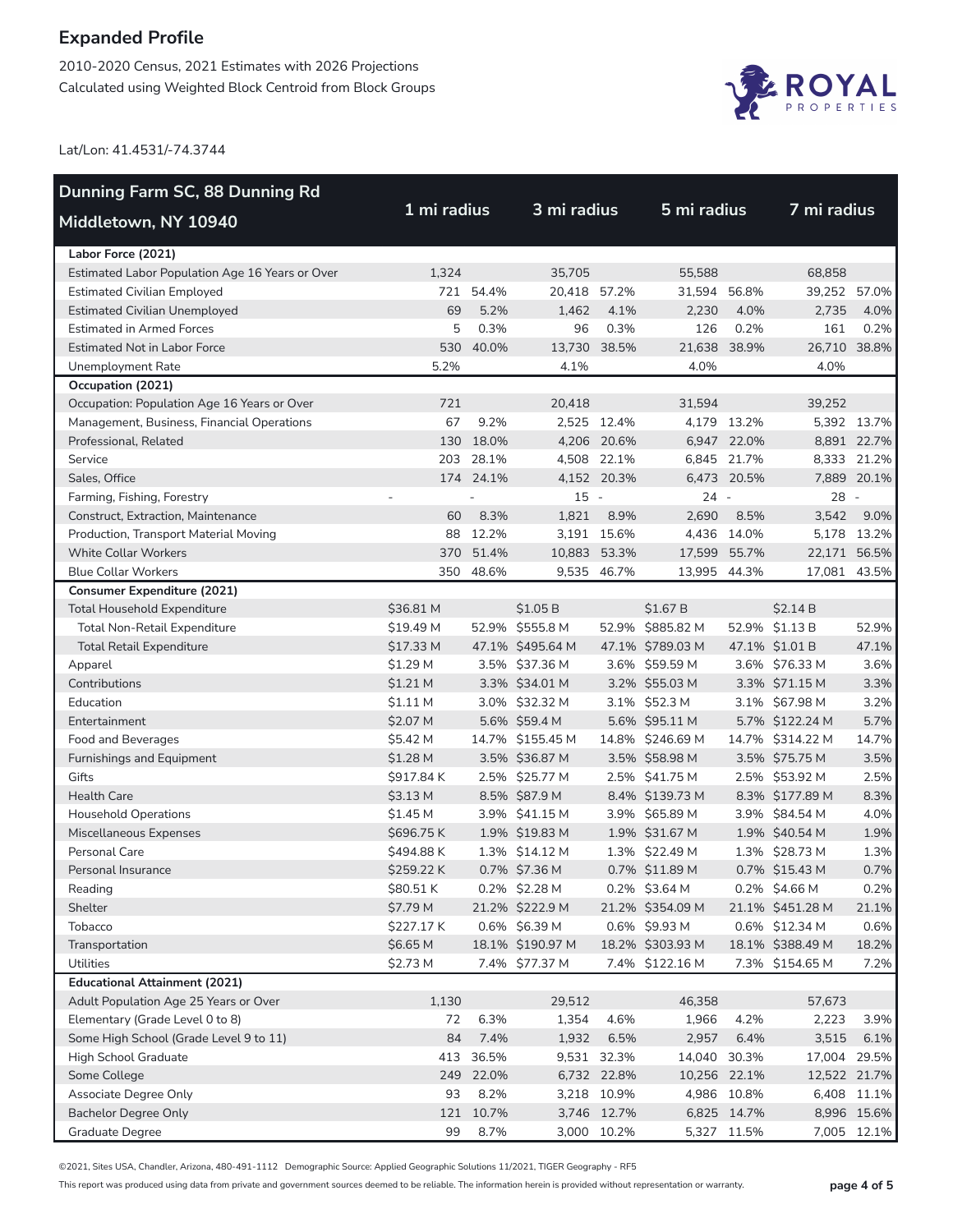2010-2020 Census, 2021 Estimates with 2026 Projections Calculated using Weighted Block Centroid from Block Groups



Lat/Lon: 41.4531/-74.3744

| Dunning Farm SC, 88 Dunning Rd                  |             |           |                  |             |                  |              |                  |             |
|-------------------------------------------------|-------------|-----------|------------------|-------------|------------------|--------------|------------------|-------------|
| Middletown, NY 10940                            | 1 mi radius |           | 3 mi radius      |             | 5 mi radius      |              | 7 mi radius      |             |
| Labor Force (2021)                              |             |           |                  |             |                  |              |                  |             |
| Estimated Labor Population Age 16 Years or Over | 1,324       |           | 35,705           |             | 55.588           |              | 68.858           |             |
| <b>Estimated Civilian Employed</b>              |             | 721 54.4% | 20,418 57.2%     |             | 31,594           | 56.8%        | 39,252 57.0%     |             |
| <b>Estimated Civilian Unemployed</b>            | 69          | 5.2%      | 1,462            | 4.1%        | 2,230            | 4.0%         | 2,735            | 4.0%        |
| <b>Estimated in Armed Forces</b>                | 5           | 0.3%      | 96               | 0.3%        | 126              | 0.2%         | 161              | 0.2%        |
| <b>Estimated Not in Labor Force</b>             | 530         | 40.0%     | 13,730 38.5%     |             | 21,638           | 38.9%        | 26,710 38.8%     |             |
| Unemployment Rate                               | 5.2%        |           | 4.1%             |             | 4.0%             |              | 4.0%             |             |
| Occupation (2021)                               |             |           |                  |             |                  |              |                  |             |
| Occupation: Population Age 16 Years or Over     | 721         |           | 20,418           |             | 31,594           |              | 39,252           |             |
| Management, Business, Financial Operations      | 67          | 9.2%      |                  | 2,525 12.4% |                  | 4,179 13.2%  |                  | 5,392 13.7% |
| Professional, Related                           | 130         | 18.0%     |                  | 4,206 20.6% |                  | 6,947 22.0%  |                  | 8,891 22.7% |
| Service                                         |             | 203 28.1% |                  | 4,508 22.1% |                  | 6,845 21.7%  |                  | 8,333 21.2% |
| Sales, Office                                   |             | 174 24.1% |                  | 4,152 20.3% |                  | 6,473 20.5%  |                  | 7,889 20.1% |
| Farming, Fishing, Forestry                      |             |           | $15 -$           |             | $24 -$           |              | $28 -$           |             |
| Construct, Extraction, Maintenance              | 60          | 8.3%      | 1,821            | 8.9%        | 2,690            | 8.5%         | 3,542            | 9.0%        |
| Production, Transport Material Moving           | 88          | 12.2%     |                  | 3,191 15.6% |                  | 4.436 14.0%  |                  | 5,178 13.2% |
| <b>White Collar Workers</b>                     | 370         | 51.4%     | 10,883 53.3%     |             | 17,599 55.7%     |              | 22,171 56.5%     |             |
| <b>Blue Collar Workers</b>                      |             | 350 48.6% |                  | 9,535 46.7% | 13,995 44.3%     |              | 17,081 43.5%     |             |
| <b>Consumer Expenditure (2021)</b>              |             |           |                  |             |                  |              |                  |             |
| <b>Total Household Expenditure</b>              | \$36.81 M   |           | \$1.05 B         |             | \$1.67 B         |              | \$2.14 B         |             |
| <b>Total Non-Retail Expenditure</b>             | \$19.49 M   |           | 52.9% \$555.8 M  |             | 52.9% \$885.82 M |              | 52.9% \$1.13 B   | 52.9%       |
| <b>Total Retail Expenditure</b>                 | \$17.33 M   |           | 47.1% \$495.64 M |             | 47.1% \$789.03 M |              | 47.1% \$1.01 B   | 47.1%       |
| Apparel                                         | \$1.29 M    |           | 3.5% \$37.36 M   |             | 3.6% \$59.59 M   |              | 3.6% \$76.33 M   | 3.6%        |
| Contributions                                   | $$1.21$ M   |           | 3.3% \$34.01 M   |             | 3.2% \$55.03 M   |              | 3.3% \$71.15 M   | 3.3%        |
| Education                                       | $$1.11$ M   |           | 3.0% \$32.32 M   |             | 3.1% \$52.3 M    |              | 3.1% \$67.98 M   | 3.2%        |
| Entertainment                                   | \$2.07 M    |           | 5.6% \$59.4 M    |             | 5.6% \$95.11 M   |              | 5.7% \$122.24 M  | 5.7%        |
| Food and Beverages                              | \$5.42 M    |           | 14.7% \$155.45 M |             | 14.8% \$246.69 M |              | 14.7% \$314.22 M | 14.7%       |
| Furnishings and Equipment                       | \$1.28 M    |           | 3.5% \$36.87 M   |             | 3.5% \$58.98 M   |              | 3.5% \$75.75 M   | 3.5%        |
| Gifts                                           | \$917.84 K  |           | 2.5% \$25.77 M   |             | 2.5% \$41.75 M   |              | 2.5% \$53.92 M   | 2.5%        |
| <b>Health Care</b>                              | \$3.13 M    |           | 8.5% \$87.9 M    |             | 8.4% \$139.73 M  |              | 8.3% \$177.89 M  | 8.3%        |
| <b>Household Operations</b>                     | \$1.45 M    |           | 3.9% \$41.15 M   |             | 3.9% \$65.89 M   |              | 3.9% \$84.54 M   | 4.0%        |
| Miscellaneous Expenses                          | \$696.75K   |           | 1.9% \$19.83 M   |             | 1.9% \$31.67 M   |              | 1.9% \$40.54 M   | 1.9%        |
| Personal Care                                   | \$494.88 K  |           | 1.3% \$14.12 M   |             | 1.3% \$22.49 M   |              | 1.3% \$28.73 M   | 1.3%        |
| Personal Insurance                              | \$259.22K   |           | 0.7% \$7.36 M    |             | 0.7% \$11.89 M   |              | 0.7% \$15.43 M   | 0.7%        |
| Reading                                         | \$80.51K    |           | 0.2% \$2.28 M    |             | 0.2% \$3.64 M    |              | 0.2% \$4.66 M    | 0.2%        |
| Shelter                                         | \$7.79 M    |           | 21.2% \$222.9 M  |             | 21.2% \$354.09 M |              | 21.1% \$451.28 M | 21.1%       |
| Tobacco                                         | \$227.17 K  |           | 0.6% \$6.39 M    |             | 0.6% \$9.93 M    |              | 0.6% \$12.34 M   | 0.6%        |
| Transportation                                  | \$6.65 M    |           | 18.1% \$190.97 M |             | 18.2% \$303.93 M |              | 18.1% \$388.49 M | 18.2%       |
| Utilities                                       | \$2.73 M    |           | 7.4% \$77.37 M   |             | 7.4% \$122.16 M  |              | 7.3% \$154.65 M  | 7.2%        |
| <b>Educational Attainment (2021)</b>            |             |           |                  |             |                  |              |                  |             |
| Adult Population Age 25 Years or Over           | 1,130       |           | 29,512           |             | 46,358           |              | 57,673           |             |
| Elementary (Grade Level 0 to 8)                 | 72          | 6.3%      | 1,354            | 4.6%        | 1,966            | 4.2%         | 2,223            | 3.9%        |
| Some High School (Grade Level 9 to 11)          | 84          | 7.4%      | 1,932            | 6.5%        | 2,957            | 6.4%         | 3,515            | 6.1%        |
| High School Graduate                            | 413         | 36.5%     |                  | 9,531 32.3% | 14,040           | 30.3%        | 17,004 29.5%     |             |
| Some College                                    | 249         | 22.0%     |                  | 6,732 22.8% |                  | 10,256 22.1% | 12,522 21.7%     |             |
| Associate Degree Only                           | 93          | 8.2%      |                  | 3,218 10.9% |                  | 4,986 10.8%  |                  | 6,408 11.1% |
| <b>Bachelor Degree Only</b>                     | 121         | 10.7%     |                  | 3,746 12.7% |                  | 6,825 14.7%  |                  | 8,996 15.6% |
| Graduate Degree                                 | 99          | 8.7%      |                  | 3,000 10.2% |                  | 5,327 11.5%  |                  | 7,005 12.1% |

©2021, Sites USA, Chandler, Arizona, 480-491-1112 Demographic Source: Applied Geographic Solutions 11/2021, TIGER Geography - RF5

This report was produced using data from private and government sources deemed to be reliable. The information herein is provided without representation or warranty. **page 4 of 5**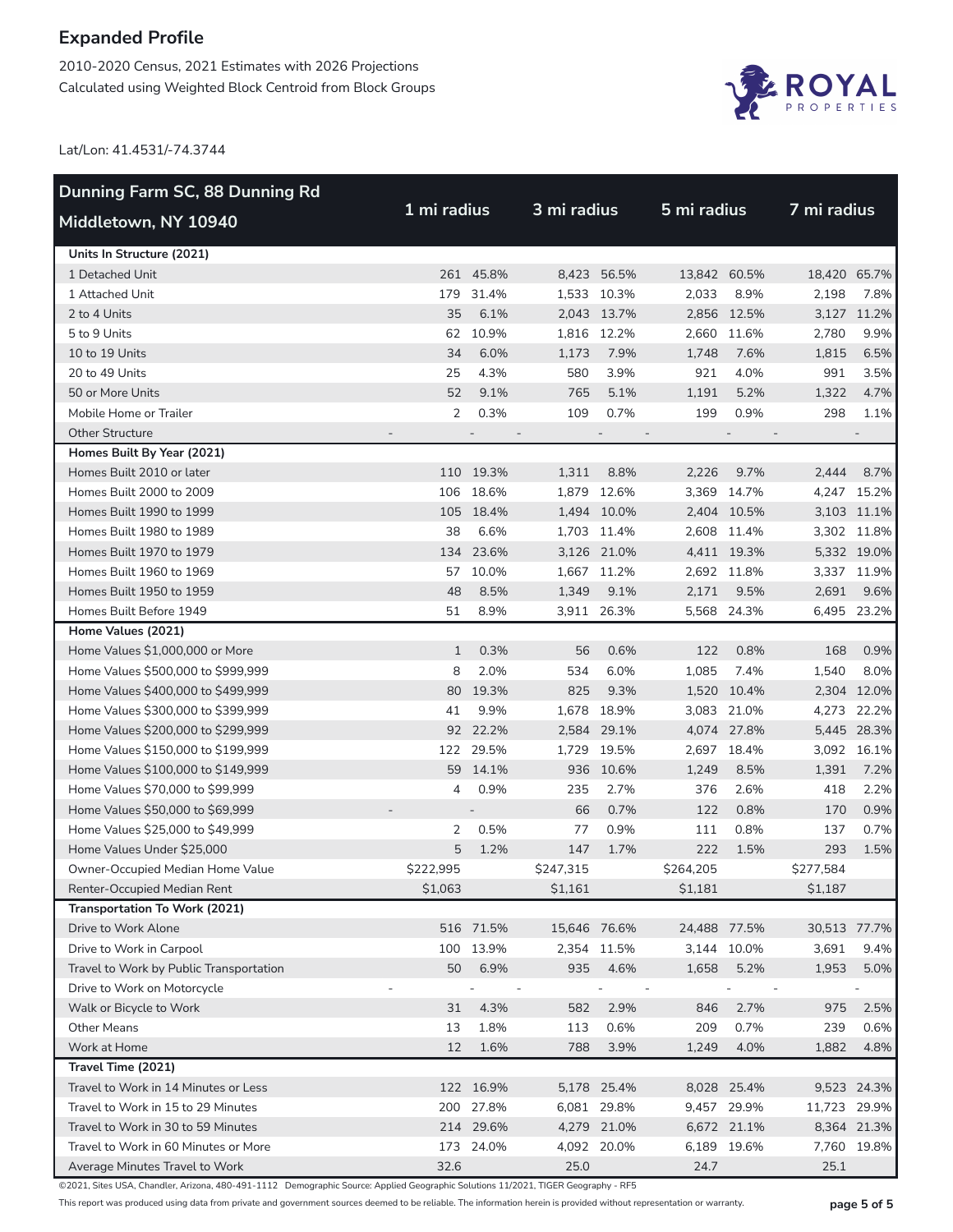2010-2020 Census, 2021 Estimates with 2026 Projections Calculated using Weighted Block Centroid from Block Groups



Lat/Lon: 41.4531/-74.3744

| Dunning Farm SC, 88 Dunning Rd                                         |              |           |                                 |             |                                 |             |                                 |             |  |  |
|------------------------------------------------------------------------|--------------|-----------|---------------------------------|-------------|---------------------------------|-------------|---------------------------------|-------------|--|--|
| Middletown, NY 10940                                                   | 1 mi radius  |           |                                 | 3 mi radius |                                 | 5 mi radius |                                 | 7 mi radius |  |  |
| Units In Structure (2021)                                              |              |           |                                 |             |                                 |             |                                 |             |  |  |
| 1 Detached Unit                                                        |              | 261 45.8% |                                 | 8,423 56.5% | 13,842 60.5%                    |             | 18,420 65.7%                    |             |  |  |
| 1 Attached Unit                                                        | 179          | 31.4%     |                                 | 1,533 10.3% | 2,033                           | 8.9%        | 2,198                           | 7.8%        |  |  |
| 2 to 4 Units                                                           | 35           | 6.1%      |                                 | 2,043 13.7% |                                 | 2,856 12.5% |                                 | 3,127 11.2% |  |  |
| 5 to 9 Units                                                           | 62           | 10.9%     |                                 | 1,816 12.2% |                                 | 2,660 11.6% | 2,780                           | 9.9%        |  |  |
| 10 to 19 Units                                                         | 34           | 6.0%      | 1,173                           | 7.9%        | 1,748                           | 7.6%        | 1,815                           | 6.5%        |  |  |
| 20 to 49 Units                                                         | 25           | 4.3%      | 580                             | 3.9%        | 921                             | 4.0%        | 991                             | 3.5%        |  |  |
| 50 or More Units                                                       | 52           | 9.1%      | 765                             | 5.1%        | 1,191                           | 5.2%        | 1,322                           | 4.7%        |  |  |
| Mobile Home or Trailer                                                 | 2            | 0.3%      | 109                             | 0.7%        | 199                             | 0.9%        | 298                             | 1.1%        |  |  |
| <b>Other Structure</b>                                                 |              |           | $\overline{\phantom{a}}$        |             |                                 |             |                                 |             |  |  |
| Homes Built By Year (2021)                                             |              |           |                                 |             |                                 |             |                                 |             |  |  |
| Homes Built 2010 or later                                              |              | 110 19.3% | 1,311                           | 8.8%        | 2,226                           | 9.7%        | 2,444                           | 8.7%        |  |  |
| Homes Built 2000 to 2009                                               | 106          | 18.6%     |                                 | 1,879 12.6% |                                 | 3,369 14.7% |                                 | 4,247 15.2% |  |  |
| Homes Built 1990 to 1999                                               |              | 105 18.4% |                                 | 1,494 10.0% |                                 | 2,404 10.5% |                                 | 3,103 11.1% |  |  |
| Homes Built 1980 to 1989                                               | 38           | 6.6%      |                                 | 1,703 11.4% |                                 | 2,608 11.4% |                                 | 3,302 11.8% |  |  |
| Homes Built 1970 to 1979                                               |              | 134 23.6% |                                 | 3,126 21.0% |                                 | 4,411 19.3% |                                 | 5,332 19.0% |  |  |
| Homes Built 1960 to 1969                                               | 57           | 10.0%     |                                 | 1,667 11.2% |                                 | 2,692 11.8% |                                 | 3,337 11.9% |  |  |
| Homes Built 1950 to 1959                                               | 48           | 8.5%      | 1,349                           | 9.1%        | 2,171                           | 9.5%        | 2,691                           | 9.6%        |  |  |
| Homes Built Before 1949                                                | 51           | 8.9%      |                                 | 3,911 26.3% |                                 | 5,568 24.3% |                                 | 6,495 23.2% |  |  |
| Home Values (2021)                                                     |              |           |                                 |             |                                 |             |                                 |             |  |  |
| Home Values \$1,000,000 or More                                        | $\mathbf{1}$ | 0.3%      | 56                              | 0.6%        | 122                             | 0.8%        | 168                             | 0.9%        |  |  |
| Home Values \$500,000 to \$999,999                                     | 8            | 2.0%      | 534                             | 6.0%        | 1,085                           | 7.4%        | 1,540                           | 8.0%        |  |  |
| Home Values \$400,000 to \$499,999                                     | 80           | 19.3%     | 825                             | 9.3%        |                                 | 1,520 10.4% |                                 | 2,304 12.0% |  |  |
| Home Values \$300,000 to \$399,999                                     | 41           | 9.9%      |                                 | 1,678 18.9% |                                 | 3,083 21.0% |                                 | 4,273 22.2% |  |  |
| Home Values \$200,000 to \$299,999                                     |              | 92 22.2%  |                                 | 2,584 29.1% |                                 | 4,074 27.8% |                                 | 5,445 28.3% |  |  |
| Home Values \$150,000 to \$199,999                                     | 122          | 29.5%     |                                 | 1,729 19.5% |                                 | 2,697 18.4% |                                 | 3,092 16.1% |  |  |
| Home Values \$100,000 to \$149,999                                     | 59           | 14.1%     | 936                             | 10.6%       | 1,249                           | 8.5%        | 1,391                           | 7.2%        |  |  |
| Home Values \$70,000 to \$99,999                                       | 4            | 0.9%      | 235                             | 2.7%        | 376                             | 2.6%        | 418                             | 2.2%        |  |  |
| Home Values \$50,000 to \$69,999                                       |              |           | 66                              | 0.7%        | 122                             | 0.8%        | 170                             | 0.9%        |  |  |
| Home Values \$25,000 to \$49,999                                       | 2            | 0.5%      | 77                              | 0.9%        | 111                             | 0.8%        | 137                             | 0.7%        |  |  |
| Home Values Under \$25,000                                             | 5            | 1.2%      | 147                             | 1.7%        | 222                             | 1.5%        | 293                             | 1.5%        |  |  |
| Owner-Occupied Median Home Value                                       | \$222,995    |           | \$247,315                       |             | \$264,205                       |             | \$277,584                       |             |  |  |
| Renter-Occupied Median Rent                                            | \$1,063      |           | \$1,161                         |             | \$1,181                         |             | \$1,187                         |             |  |  |
| Transportation To Work (2021)                                          |              |           |                                 |             |                                 |             |                                 |             |  |  |
| Drive to Work Alone<br>Drive to Work in Carpool                        |              | 516 71.5% | 15,646 76.6%                    | 2,354 11.5% | 24,488 77.5%                    | 3,144 10.0% | 30,513 77.7%                    |             |  |  |
|                                                                        |              | 100 13.9% |                                 |             |                                 |             | 3,691                           | 9.4%        |  |  |
| Travel to Work by Public Transportation<br>Drive to Work on Motorcycle | 50           | 6.9%      | 935                             | 4.6%        | 1,658                           | 5.2%        | 1,953                           | 5.0%        |  |  |
| Walk or Bicycle to Work                                                | 31           | 4.3%      | $\overline{\phantom{a}}$<br>582 | 2.9%        | $\overline{\phantom{a}}$<br>846 | 2.7%        | $\overline{\phantom{a}}$<br>975 | 2.5%        |  |  |
| <b>Other Means</b>                                                     | 13           | 1.8%      | 113                             | 0.6%        | 209                             | 0.7%        | 239                             | 0.6%        |  |  |
| Work at Home                                                           | 12           | 1.6%      | 788                             | 3.9%        | 1,249                           | 4.0%        | 1,882                           | 4.8%        |  |  |
| Travel Time (2021)                                                     |              |           |                                 |             |                                 |             |                                 |             |  |  |
| Travel to Work in 14 Minutes or Less                                   |              | 122 16.9% |                                 | 5,178 25.4% |                                 | 8,028 25.4% |                                 | 9,523 24.3% |  |  |
| Travel to Work in 15 to 29 Minutes                                     |              | 200 27.8% |                                 | 6,081 29.8% |                                 | 9,457 29.9% | 11,723 29.9%                    |             |  |  |
| Travel to Work in 30 to 59 Minutes                                     |              | 214 29.6% |                                 | 4,279 21.0% |                                 | 6,672 21.1% |                                 | 8,364 21.3% |  |  |
| Travel to Work in 60 Minutes or More                                   |              | 173 24.0% |                                 | 4,092 20.0% |                                 | 6,189 19.6% |                                 | 7,760 19.8% |  |  |
| Average Minutes Travel to Work                                         | 32.6         |           | 25.0                            |             | 24.7                            |             | 25.1                            |             |  |  |

©2021, Sites USA, Chandler, Arizona, 480-491-1112 Demographic Source: Applied Geographic Solutions 11/2021, TIGER Geography - RF5

This report was produced using data from private and government sources deemed to be reliable. The information herein is provided without representation or warranty. **page 5 of 5**